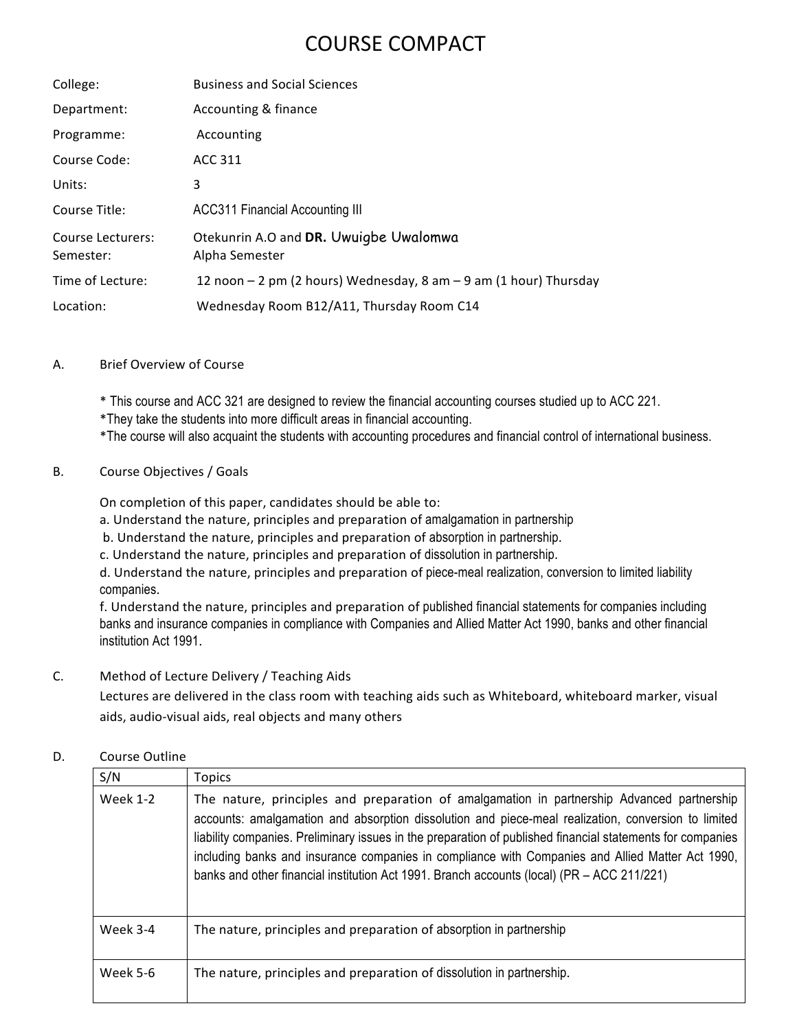# COURSE COMPACT

| College:                       | <b>Business and Social Sciences</b>                               |
|--------------------------------|-------------------------------------------------------------------|
| Department:                    | Accounting & finance                                              |
| Programme:                     | Accounting                                                        |
| Course Code:                   | ACC 311                                                           |
| Units:                         | 3                                                                 |
| Course Title:                  | <b>ACC311 Financial Accounting III</b>                            |
| Course Lecturers:<br>Semester: | Otekunrin A.O and DR. Uwuigbe Uwalomwa<br>Alpha Semester          |
| Time of Lecture:               | 12 noon - 2 pm (2 hours) Wednesday, 8 am - 9 am (1 hour) Thursday |
| Location:                      | Wednesday Room B12/A11, Thursday Room C14                         |

# A. Brief Overview of Course

- \* This course and ACC 321 are designed to review the financial accounting courses studied up to ACC 221.
- \*They take the students into more difficult areas in financial accounting.
- \*The course will also acquaint the students with accounting procedures and financial control of international business.

# B. Course Objectives / Goals

On completion of this paper, candidates should be able to:

a. Understand the nature, principles and preparation of amalgamation in partnership

- b. Understand the nature, principles and preparation of absorption in partnership.
- c. Understand the nature, principles and preparation of dissolution in partnership.

d. Understand the nature, principles and preparation of piece-meal realization, conversion to limited liability companies. 

f. Understand the nature, principles and preparation of published financial statements for companies including banks and insurance companies in compliance with Companies and Allied Matter Act 1990, banks and other financial institution Act 1991. 

#### C. Method of Lecture Delivery / Teaching Aids

Lectures are delivered in the class room with teaching aids such as Whiteboard, whiteboard marker, visual aids, audio-visual aids, real objects and many others

# D. Course Outline

| S/N             | Topics                                                                                                                                                                                                                                                                                                                                                                                                                                                                                                            |
|-----------------|-------------------------------------------------------------------------------------------------------------------------------------------------------------------------------------------------------------------------------------------------------------------------------------------------------------------------------------------------------------------------------------------------------------------------------------------------------------------------------------------------------------------|
| <b>Week 1-2</b> | The nature, principles and preparation of amalgamation in partnership Advanced partnership<br>accounts: amalgamation and absorption dissolution and piece-meal realization, conversion to limited<br>liability companies. Preliminary issues in the preparation of published financial statements for companies<br>including banks and insurance companies in compliance with Companies and Allied Matter Act 1990,<br>banks and other financial institution Act 1991. Branch accounts (local) (PR - ACC 211/221) |
| Week 3-4        | The nature, principles and preparation of absorption in partnership                                                                                                                                                                                                                                                                                                                                                                                                                                               |
| <b>Week 5-6</b> | The nature, principles and preparation of dissolution in partnership.                                                                                                                                                                                                                                                                                                                                                                                                                                             |